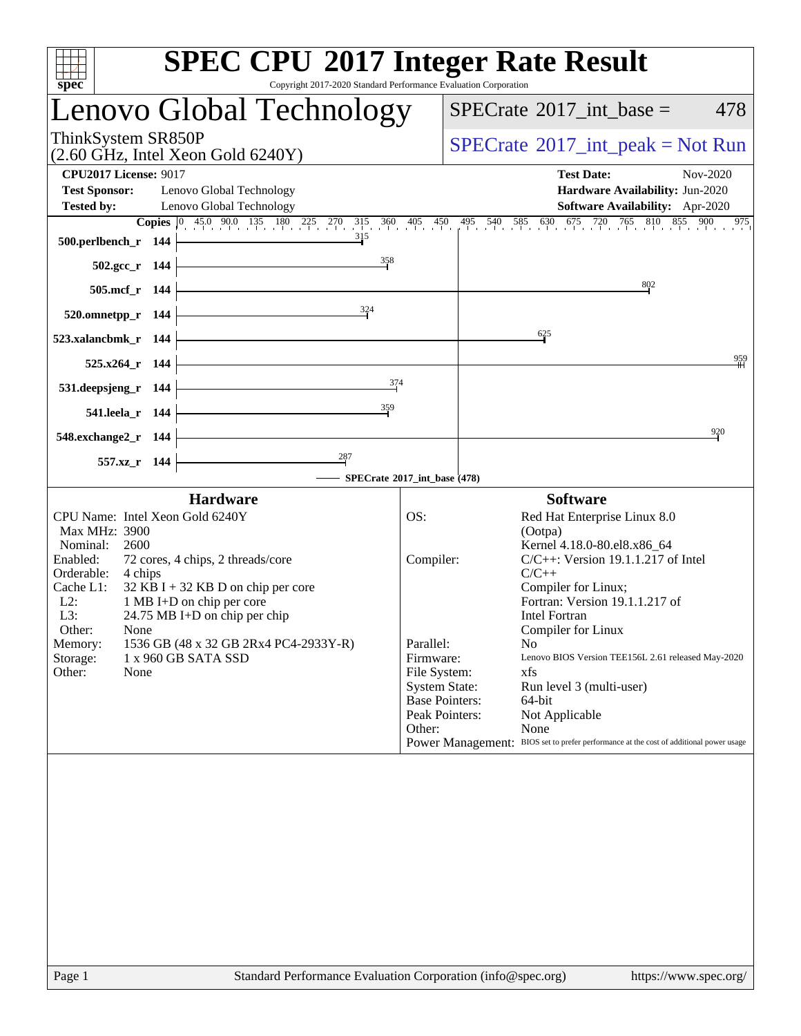| Copyright 2017-2020 Standard Performance Evaluation Corporation<br>spec <sup>®</sup>                                                                                                                                                                                                                                                                                                                                                       | <b>SPEC CPU®2017 Integer Rate Result</b>                                                                                                                                                                                                                                                                                                                                                                                                                                                                                                                                                                                     |
|--------------------------------------------------------------------------------------------------------------------------------------------------------------------------------------------------------------------------------------------------------------------------------------------------------------------------------------------------------------------------------------------------------------------------------------------|------------------------------------------------------------------------------------------------------------------------------------------------------------------------------------------------------------------------------------------------------------------------------------------------------------------------------------------------------------------------------------------------------------------------------------------------------------------------------------------------------------------------------------------------------------------------------------------------------------------------------|
| Lenovo Global Technology                                                                                                                                                                                                                                                                                                                                                                                                                   | $SPECrate^{\circledast}2017\_int\_base =$<br>478                                                                                                                                                                                                                                                                                                                                                                                                                                                                                                                                                                             |
| ThinkSystem SR850P<br>$(2.60 \text{ GHz}, \text{Intel Xeon Gold } 6240 \text{Y})$                                                                                                                                                                                                                                                                                                                                                          | $SPECrate^{\circledast}2017\_int\_peak = Not Run$                                                                                                                                                                                                                                                                                                                                                                                                                                                                                                                                                                            |
| <b>CPU2017 License: 9017</b><br><b>Test Sponsor:</b><br>Lenovo Global Technology<br><b>Tested by:</b><br>Lenovo Global Technology<br>315                                                                                                                                                                                                                                                                                                   | Nov-2020<br><b>Test Date:</b><br>Hardware Availability: Jun-2020<br>Software Availability: Apr-2020<br><b>Copies</b> $\begin{bmatrix} 0 & 45.0 & 90.0 & 135 & 180 & 225 & 270 & 315 & 360 & 405 & 450 & 495 & 540 & 585 & 630 & 675 & 720 & 765 & 810 & 855 & 900 \end{bmatrix}$<br>975                                                                                                                                                                                                                                                                                                                                      |
| 500.perlbench_r 144<br>$\frac{358}{9}$<br>502.gcc r 144                                                                                                                                                                                                                                                                                                                                                                                    |                                                                                                                                                                                                                                                                                                                                                                                                                                                                                                                                                                                                                              |
| 505.mcf_r 144<br>324<br>520.omnetpp_r 144                                                                                                                                                                                                                                                                                                                                                                                                  | 802                                                                                                                                                                                                                                                                                                                                                                                                                                                                                                                                                                                                                          |
| 523.xalancbmk_r 144                                                                                                                                                                                                                                                                                                                                                                                                                        | 625                                                                                                                                                                                                                                                                                                                                                                                                                                                                                                                                                                                                                          |
| 525.x264_r 144<br>374<br>531.deepsjeng_r 144                                                                                                                                                                                                                                                                                                                                                                                               | 959                                                                                                                                                                                                                                                                                                                                                                                                                                                                                                                                                                                                                          |
| 359<br>541.leela_r 144                                                                                                                                                                                                                                                                                                                                                                                                                     | 920                                                                                                                                                                                                                                                                                                                                                                                                                                                                                                                                                                                                                          |
| 548.exchange2_r 144<br>287<br>557.xz_r 144                                                                                                                                                                                                                                                                                                                                                                                                 |                                                                                                                                                                                                                                                                                                                                                                                                                                                                                                                                                                                                                              |
|                                                                                                                                                                                                                                                                                                                                                                                                                                            | SPECrate®2017_int_base (478)                                                                                                                                                                                                                                                                                                                                                                                                                                                                                                                                                                                                 |
| <b>Hardware</b><br>CPU Name: Intel Xeon Gold 6240Y<br>Max MHz: 3900<br>Nominal:<br>2600<br>Enabled:<br>72 cores, 4 chips, 2 threads/core<br>Orderable:<br>4 chips<br>Cache L1:<br>$32$ KB I + 32 KB D on chip per core<br>$L2$ :<br>1 MB I+D on chip per core<br>L3:<br>$24.75 \text{ MB I+D}$ on chip per chip<br>Other:<br>None<br>1536 GB (48 x 32 GB 2Rx4 PC4-2933Y-R)<br>Memory:<br>Storage:<br>1 x 960 GB SATA SSD<br>Other:<br>None | <b>Software</b><br>OS:<br>Red Hat Enterprise Linux 8.0<br>(Ootpa)<br>Kernel 4.18.0-80.el8.x86_64<br>$C/C++$ : Version 19.1.1.217 of Intel<br>Compiler:<br>$C/C++$<br>Compiler for Linux;<br>Fortran: Version 19.1.1.217 of<br><b>Intel Fortran</b><br>Compiler for Linux<br>Parallel:<br>No<br>Firmware:<br>Lenovo BIOS Version TEE156L 2.61 released May-2020<br>File System:<br>xfs<br><b>System State:</b><br>Run level 3 (multi-user)<br><b>Base Pointers:</b><br>64-bit<br>Not Applicable<br>Peak Pointers:<br>Other:<br>None<br>Power Management: BIOS set to prefer performance at the cost of additional power usage |
|                                                                                                                                                                                                                                                                                                                                                                                                                                            |                                                                                                                                                                                                                                                                                                                                                                                                                                                                                                                                                                                                                              |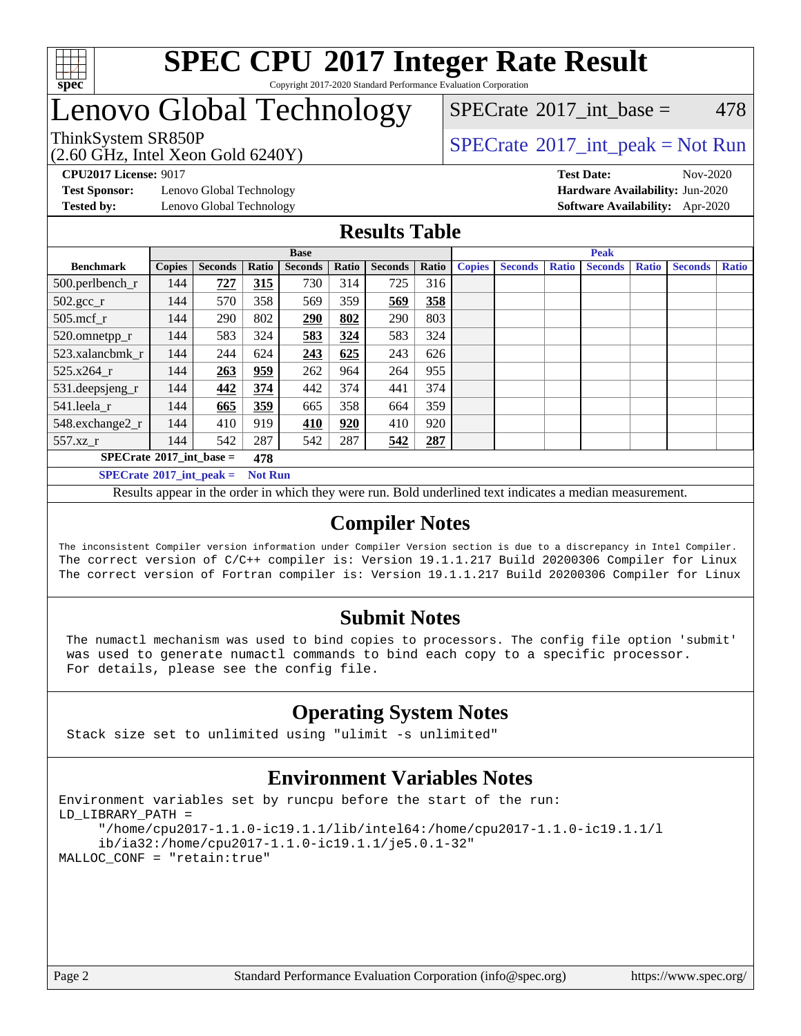

#### **[SPEC CPU](http://www.spec.org/auto/cpu2017/Docs/result-fields.html#SPECCPU2017IntegerRateResult)[2017 Integer Rate Result](http://www.spec.org/auto/cpu2017/Docs/result-fields.html#SPECCPU2017IntegerRateResult)** Copyright 2017-2020 Standard Performance Evaluation Corporation

## Lenovo Global Technology

ThinkSystem SR850P<br>  $\begin{array}{c}\n\text{SPECTI} \\
\text{SPECTI} \\
\text{SPECTI} \\
\text{SPECTI} \\
\text{SPECTI} \\
\text{SPECTI} \\
\text{SPECTI} \\
\text{SPECTI} \\
\text{SPECTI} \\
\text{SPECTI} \\
\text{SPECTI} \\
\text{SPECTI} \\
\text{SPECTI} \\
\text{SPECTI} \\
\text{SPECTI} \\
\text{S OF} \\
\text{S OF} \\
\text{S OF} \\
\text{S OF} \\
\text{S OF} \\
\text{S OF} \\
\text{S OF} \\
\text{S OF} \\
\text{S OF} \\
\text{S OF} \\
\text$  $SPECTate$ <sup>®</sup>[2017\\_int\\_base =](http://www.spec.org/auto/cpu2017/Docs/result-fields.html#SPECrate2017intbase) 478

(2.60 GHz, Intel Xeon Gold 6240Y)

**[Test Sponsor:](http://www.spec.org/auto/cpu2017/Docs/result-fields.html#TestSponsor)** Lenovo Global Technology **[Hardware Availability:](http://www.spec.org/auto/cpu2017/Docs/result-fields.html#HardwareAvailability)** Jun-2020

**[CPU2017 License:](http://www.spec.org/auto/cpu2017/Docs/result-fields.html#CPU2017License)** 9017 **[Test Date:](http://www.spec.org/auto/cpu2017/Docs/result-fields.html#TestDate)** Nov-2020 **[Tested by:](http://www.spec.org/auto/cpu2017/Docs/result-fields.html#Testedby)** Lenovo Global Technology **[Software Availability:](http://www.spec.org/auto/cpu2017/Docs/result-fields.html#SoftwareAvailability)** Apr-2020

### **[Results Table](http://www.spec.org/auto/cpu2017/Docs/result-fields.html#ResultsTable)**

|                                         | <b>Base</b>   |                |                |                |       | <b>Peak</b>    |       |               |                |              |                |              |                |              |
|-----------------------------------------|---------------|----------------|----------------|----------------|-------|----------------|-------|---------------|----------------|--------------|----------------|--------------|----------------|--------------|
| <b>Benchmark</b>                        | <b>Copies</b> | <b>Seconds</b> | Ratio          | <b>Seconds</b> | Ratio | <b>Seconds</b> | Ratio | <b>Copies</b> | <b>Seconds</b> | <b>Ratio</b> | <b>Seconds</b> | <b>Ratio</b> | <b>Seconds</b> | <b>Ratio</b> |
| 500.perlbench_r                         | 144           | 727            | 315            | 730            | 314   | 725            | 316   |               |                |              |                |              |                |              |
| $502.\text{sec}$                        | 144           | 570            | 358            | 569            | 359   | 569            | 358   |               |                |              |                |              |                |              |
| 505.mcf r                               | 144           | 290            | 802            | 290            | 802   | 290            | 803   |               |                |              |                |              |                |              |
| 520.omnetpp_r                           | 144           | 583            | 324            | 583            | 324   | 583            | 324   |               |                |              |                |              |                |              |
| 523.xalancbmk_r                         | 144           | 244            | 624            | 243            | 625   | 243            | 626   |               |                |              |                |              |                |              |
| 525.x264 r                              | 144           | 263            | 959            | 262            | 964   | 264            | 955   |               |                |              |                |              |                |              |
| 531.deepsjeng_r                         | 144           | 442            | 374            | 442            | 374   | 441            | 374   |               |                |              |                |              |                |              |
| 541.leela_r                             | 144           | 665            | 359            | 665            | 358   | 664            | 359   |               |                |              |                |              |                |              |
| 548.exchange2_r                         | 144           | 410            | 919            | 410            | 920   | 410            | 920   |               |                |              |                |              |                |              |
| 557.xz r                                | 144           | 542            | 287            | 542            | 287   | 542            | 287   |               |                |              |                |              |                |              |
| $SPECrate^{\circ}2017$ int base =       |               |                | 478            |                |       |                |       |               |                |              |                |              |                |              |
| $SPECTate$ <sup>®</sup> 2017_int_peak = |               |                | <b>Not Run</b> |                |       |                |       |               |                |              |                |              |                |              |

Results appear in the [order in which they were run](http://www.spec.org/auto/cpu2017/Docs/result-fields.html#RunOrder). Bold underlined text [indicates a median measurement](http://www.spec.org/auto/cpu2017/Docs/result-fields.html#Median).

### **[Compiler Notes](http://www.spec.org/auto/cpu2017/Docs/result-fields.html#CompilerNotes)**

The inconsistent Compiler version information under Compiler Version section is due to a discrepancy in Intel Compiler. The correct version of C/C++ compiler is: Version 19.1.1.217 Build 20200306 Compiler for Linux The correct version of Fortran compiler is: Version 19.1.1.217 Build 20200306 Compiler for Linux

### **[Submit Notes](http://www.spec.org/auto/cpu2017/Docs/result-fields.html#SubmitNotes)**

 The numactl mechanism was used to bind copies to processors. The config file option 'submit' was used to generate numactl commands to bind each copy to a specific processor. For details, please see the config file.

### **[Operating System Notes](http://www.spec.org/auto/cpu2017/Docs/result-fields.html#OperatingSystemNotes)**

Stack size set to unlimited using "ulimit -s unlimited"

### **[Environment Variables Notes](http://www.spec.org/auto/cpu2017/Docs/result-fields.html#EnvironmentVariablesNotes)**

```
Environment variables set by runcpu before the start of the run:
LD_LIBRARY_PATH =
      "/home/cpu2017-1.1.0-ic19.1.1/lib/intel64:/home/cpu2017-1.1.0-ic19.1.1/l
      ib/ia32:/home/cpu2017-1.1.0-ic19.1.1/je5.0.1-32"
MALLOC_CONF = "retain:true"
```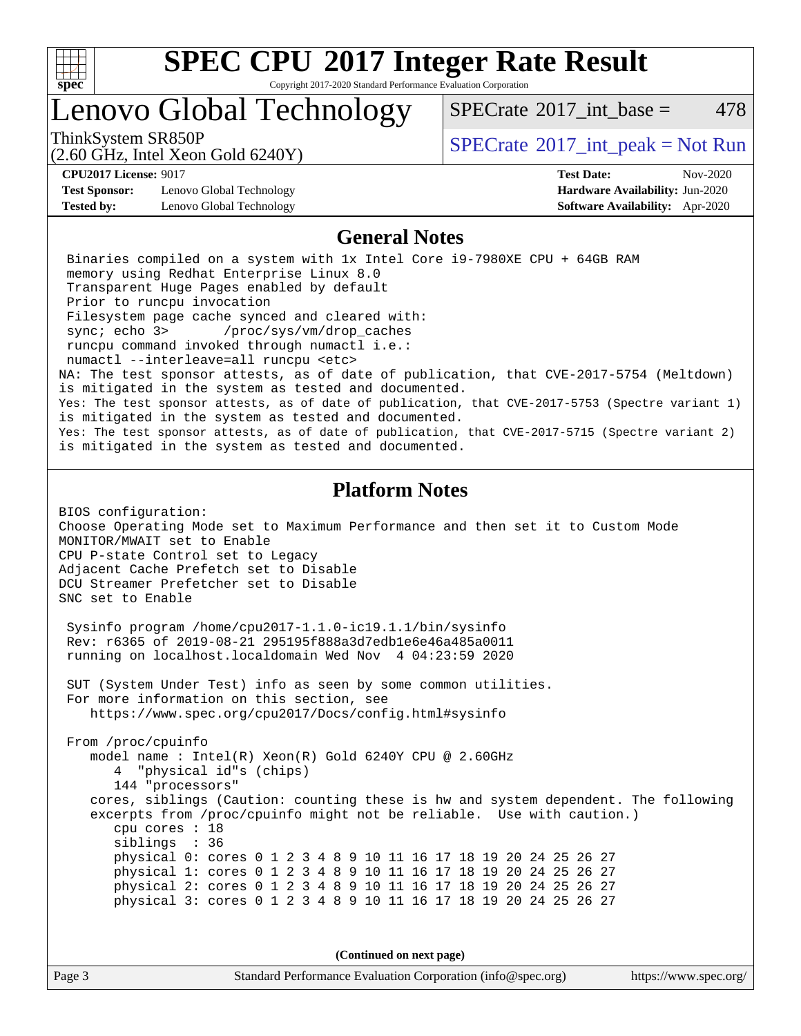

Copyright 2017-2020 Standard Performance Evaluation Corporation

### Lenovo Global Technology

ThinkSystem SR850P<br>  $\begin{array}{c}\n\text{SPECTI}_2 \text{ Intel Year} \\
\text{SPECTI}_3 \text{ Int\_peak} = \text{Not Run}\n\end{array}$  $SPECTate^{\circledcirc}2017$  int base = 478

(2.60 GHz, Intel Xeon Gold 6240Y)

**[Test Sponsor:](http://www.spec.org/auto/cpu2017/Docs/result-fields.html#TestSponsor)** Lenovo Global Technology **[Hardware Availability:](http://www.spec.org/auto/cpu2017/Docs/result-fields.html#HardwareAvailability)** Jun-2020 **[Tested by:](http://www.spec.org/auto/cpu2017/Docs/result-fields.html#Testedby)** Lenovo Global Technology **[Software Availability:](http://www.spec.org/auto/cpu2017/Docs/result-fields.html#SoftwareAvailability)** Apr-2020

**[CPU2017 License:](http://www.spec.org/auto/cpu2017/Docs/result-fields.html#CPU2017License)** 9017 **[Test Date:](http://www.spec.org/auto/cpu2017/Docs/result-fields.html#TestDate)** Nov-2020

### **[General Notes](http://www.spec.org/auto/cpu2017/Docs/result-fields.html#GeneralNotes)**

 Binaries compiled on a system with 1x Intel Core i9-7980XE CPU + 64GB RAM memory using Redhat Enterprise Linux 8.0 Transparent Huge Pages enabled by default Prior to runcpu invocation Filesystem page cache synced and cleared with: sync; echo 3> /proc/sys/vm/drop\_caches runcpu command invoked through numactl i.e.: numactl --interleave=all runcpu <etc> NA: The test sponsor attests, as of date of publication, that CVE-2017-5754 (Meltdown) is mitigated in the system as tested and documented. Yes: The test sponsor attests, as of date of publication, that CVE-2017-5753 (Spectre variant 1) is mitigated in the system as tested and documented. Yes: The test sponsor attests, as of date of publication, that CVE-2017-5715 (Spectre variant 2) is mitigated in the system as tested and documented.

### **[Platform Notes](http://www.spec.org/auto/cpu2017/Docs/result-fields.html#PlatformNotes)**

BIOS configuration: Choose Operating Mode set to Maximum Performance and then set it to Custom Mode MONITOR/MWAIT set to Enable CPU P-state Control set to Legacy Adjacent Cache Prefetch set to Disable DCU Streamer Prefetcher set to Disable SNC set to Enable

 Sysinfo program /home/cpu2017-1.1.0-ic19.1.1/bin/sysinfo Rev: r6365 of 2019-08-21 295195f888a3d7edb1e6e46a485a0011 running on localhost.localdomain Wed Nov 4 04:23:59 2020

 SUT (System Under Test) info as seen by some common utilities. For more information on this section, see <https://www.spec.org/cpu2017/Docs/config.html#sysinfo>

 From /proc/cpuinfo model name : Intel(R) Xeon(R) Gold 6240Y CPU @ 2.60GHz 4 "physical id"s (chips) 144 "processors" cores, siblings (Caution: counting these is hw and system dependent. The following excerpts from /proc/cpuinfo might not be reliable. Use with caution.) cpu cores : 18 siblings : 36 physical 0: cores 0 1 2 3 4 8 9 10 11 16 17 18 19 20 24 25 26 27 physical 1: cores 0 1 2 3 4 8 9 10 11 16 17 18 19 20 24 25 26 27 physical 2: cores 0 1 2 3 4 8 9 10 11 16 17 18 19 20 24 25 26 27 physical 3: cores 0 1 2 3 4 8 9 10 11 16 17 18 19 20 24 25 26 27

**(Continued on next page)**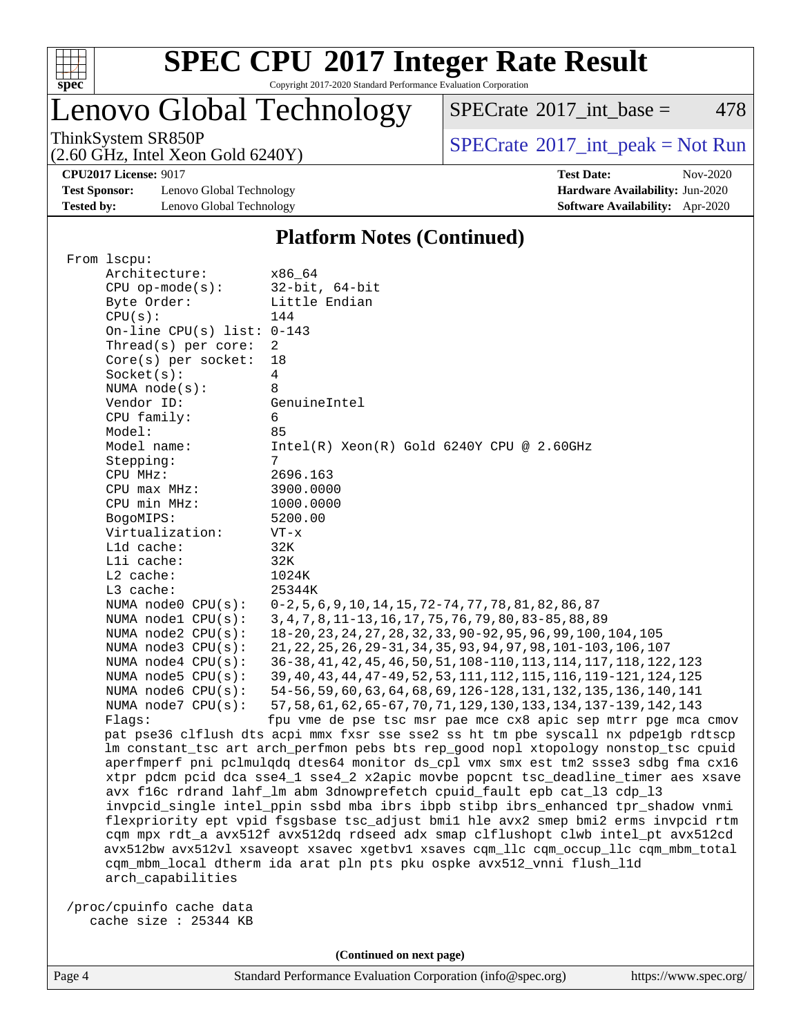

Copyright 2017-2020 Standard Performance Evaluation Corporation

### Lenovo Global Technology

 $SPECTate$ <sup>®</sup>[2017\\_int\\_base =](http://www.spec.org/auto/cpu2017/Docs/result-fields.html#SPECrate2017intbase) 478

(2.60 GHz, Intel Xeon Gold 6240Y)

ThinkSystem SR850P<br>  $(2.60 \text{ GHz. Intel Yoon Gold } 6240 \text{V})$  [SPECrate](http://www.spec.org/auto/cpu2017/Docs/result-fields.html#SPECrate2017intpeak)®[2017\\_int\\_peak = N](http://www.spec.org/auto/cpu2017/Docs/result-fields.html#SPECrate2017intpeak)ot Run

**[CPU2017 License:](http://www.spec.org/auto/cpu2017/Docs/result-fields.html#CPU2017License)** 9017 **[Test Date:](http://www.spec.org/auto/cpu2017/Docs/result-fields.html#TestDate)** Nov-2020

**[Test Sponsor:](http://www.spec.org/auto/cpu2017/Docs/result-fields.html#TestSponsor)** Lenovo Global Technology **[Hardware Availability:](http://www.spec.org/auto/cpu2017/Docs/result-fields.html#HardwareAvailability)** Jun-2020 **[Tested by:](http://www.spec.org/auto/cpu2017/Docs/result-fields.html#Testedby)** Lenovo Global Technology **[Software Availability:](http://www.spec.org/auto/cpu2017/Docs/result-fields.html#SoftwareAvailability)** Apr-2020

### **[Platform Notes \(Continued\)](http://www.spec.org/auto/cpu2017/Docs/result-fields.html#PlatformNotes)**

| From lscpu:                                                                        |                                                                                      |  |  |  |  |
|------------------------------------------------------------------------------------|--------------------------------------------------------------------------------------|--|--|--|--|
| Architecture:                                                                      | x86 64                                                                               |  |  |  |  |
| $CPU$ op-mode( $s$ ):                                                              | $32$ -bit, $64$ -bit                                                                 |  |  |  |  |
| Byte Order:                                                                        | Little Endian                                                                        |  |  |  |  |
| CPU(s):                                                                            | 144                                                                                  |  |  |  |  |
| On-line CPU(s) list: $0-143$                                                       |                                                                                      |  |  |  |  |
| Thread(s) per core:                                                                | 2                                                                                    |  |  |  |  |
| Core(s) per socket:                                                                | 18                                                                                   |  |  |  |  |
| Socket(s):                                                                         | 4                                                                                    |  |  |  |  |
| NUMA node(s):                                                                      | 8                                                                                    |  |  |  |  |
| Vendor ID:                                                                         | GenuineIntel                                                                         |  |  |  |  |
| CPU family:                                                                        | 6                                                                                    |  |  |  |  |
| Model:                                                                             | 85                                                                                   |  |  |  |  |
| Model name:                                                                        | $Intel(R) Xeon(R) Gold 6240Y CPU @ 2.60GHz$                                          |  |  |  |  |
| Stepping:                                                                          | 7                                                                                    |  |  |  |  |
| CPU MHz:                                                                           | 2696.163                                                                             |  |  |  |  |
| CPU max MHz:                                                                       | 3900.0000                                                                            |  |  |  |  |
| CPU min MHz:                                                                       | 1000.0000                                                                            |  |  |  |  |
| BogoMIPS:                                                                          | 5200.00                                                                              |  |  |  |  |
| Virtualization:                                                                    | $VT - x$                                                                             |  |  |  |  |
| L1d cache:                                                                         | 32K                                                                                  |  |  |  |  |
| Lli cache:                                                                         | 32K                                                                                  |  |  |  |  |
| L2 cache:                                                                          | 1024K                                                                                |  |  |  |  |
| L3 cache:                                                                          | 25344K                                                                               |  |  |  |  |
| NUMA node0 CPU(s):                                                                 | 0-2, 5, 6, 9, 10, 14, 15, 72-74, 77, 78, 81, 82, 86, 87                              |  |  |  |  |
| NUMA nodel CPU(s):                                                                 | 3, 4, 7, 8, 11-13, 16, 17, 75, 76, 79, 80, 83-85, 88, 89                             |  |  |  |  |
| NUMA $node2$ $CPU(s):$                                                             | 18-20, 23, 24, 27, 28, 32, 33, 90-92, 95, 96, 99, 100, 104, 105                      |  |  |  |  |
| NUMA $node3$ CPU $(s)$ :                                                           | 21, 22, 25, 26, 29-31, 34, 35, 93, 94, 97, 98, 101-103, 106, 107                     |  |  |  |  |
| NUMA $node4$ CPU $(s)$ :                                                           | 36-38, 41, 42, 45, 46, 50, 51, 108-110, 113, 114, 117, 118, 122, 123                 |  |  |  |  |
| NUMA $node5$ $CPU(s):$                                                             | 39, 40, 43, 44, 47-49, 52, 53, 111, 112, 115, 116, 119-121, 124, 125                 |  |  |  |  |
| NUMA node6 $CPU(s):$                                                               | 54-56, 59, 60, 63, 64, 68, 69, 126-128, 131, 132, 135, 136, 140, 141                 |  |  |  |  |
| NUMA node7 CPU(s):                                                                 | 57, 58, 61, 62, 65-67, 70, 71, 129, 130, 133, 134, 137-139, 142, 143                 |  |  |  |  |
| Flags:                                                                             | fpu vme de pse tsc msr pae mce cx8 apic sep mtrr pge mca cmov                        |  |  |  |  |
|                                                                                    | pat pse36 clflush dts acpi mmx fxsr sse sse2 ss ht tm pbe syscall nx pdpelgb rdtscp  |  |  |  |  |
|                                                                                    | lm constant_tsc art arch_perfmon pebs bts rep_good nopl xtopology nonstop_tsc cpuid  |  |  |  |  |
|                                                                                    | aperfmperf pni pclmulqdq dtes64 monitor ds_cpl vmx smx est tm2 ssse3 sdbg fma cx16   |  |  |  |  |
|                                                                                    | xtpr pdcm pcid dca sse4_1 sse4_2 x2apic movbe popcnt tsc_deadline_timer aes xsave    |  |  |  |  |
|                                                                                    | avx f16c rdrand lahf_lm abm 3dnowprefetch cpuid_fault epb cat_13 cdp_13              |  |  |  |  |
|                                                                                    | invpcid_single intel_ppin ssbd mba ibrs ibpb stibp ibrs_enhanced tpr_shadow vnmi     |  |  |  |  |
| flexpriority ept vpid fsgsbase tsc_adjust bmil hle avx2 smep bmi2 erms invpcid rtm |                                                                                      |  |  |  |  |
| cqm mpx rdt_a avx512f avx512dq rdseed adx smap clflushopt clwb intel_pt avx512cd   |                                                                                      |  |  |  |  |
|                                                                                    | avx512bw avx512vl xsaveopt xsavec xgetbvl xsaves cqm_llc cqm_occup_llc cqm_mbm_total |  |  |  |  |
|                                                                                    | cqm_mbm_local dtherm ida arat pln pts pku ospke avx512_vnni flush_l1d                |  |  |  |  |
| arch capabilities                                                                  |                                                                                      |  |  |  |  |
|                                                                                    |                                                                                      |  |  |  |  |
| /proc/cpuinfo cache data                                                           |                                                                                      |  |  |  |  |
| cache size : 25344 KB                                                              |                                                                                      |  |  |  |  |
|                                                                                    |                                                                                      |  |  |  |  |

**(Continued on next page)**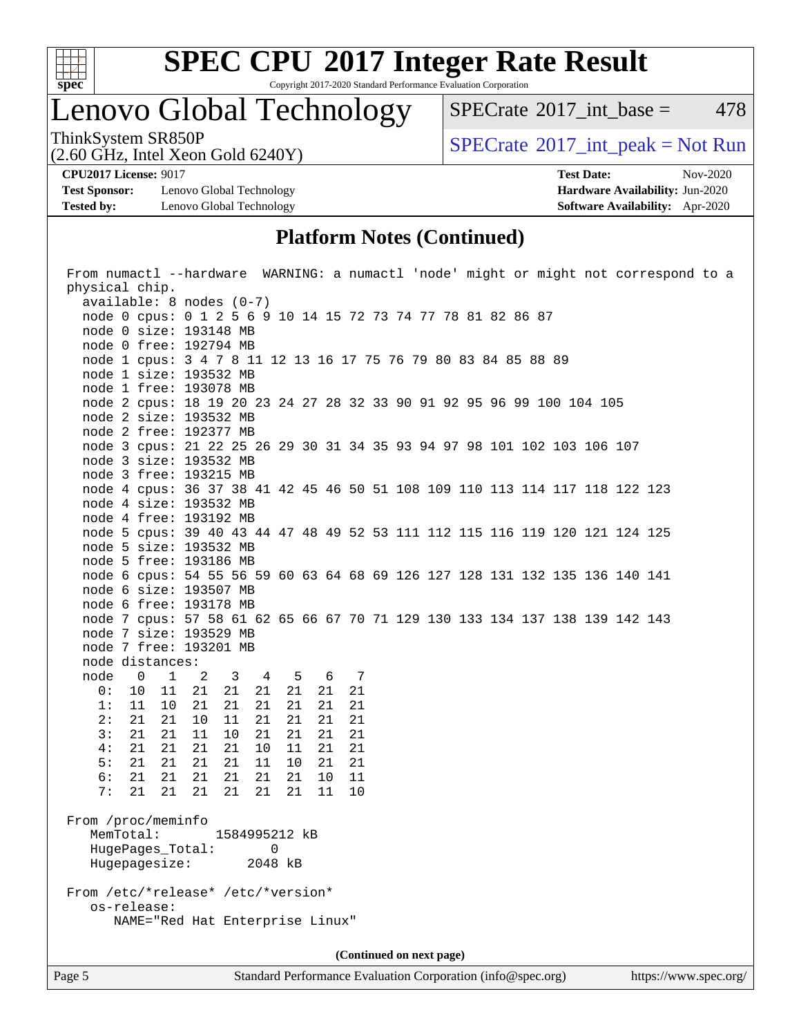

Copyright 2017-2020 Standard Performance Evaluation Corporation

Lenovo Global Technology

 $SPECTate$ <sup>®</sup>[2017\\_int\\_base =](http://www.spec.org/auto/cpu2017/Docs/result-fields.html#SPECrate2017intbase) 478

(2.60 GHz, Intel Xeon Gold 6240Y)

ThinkSystem SR850P<br>  $(2.60 \text{ GHz})$  Intel Xeon Gold 6240Y)

**[Test Sponsor:](http://www.spec.org/auto/cpu2017/Docs/result-fields.html#TestSponsor)** Lenovo Global Technology **[Hardware Availability:](http://www.spec.org/auto/cpu2017/Docs/result-fields.html#HardwareAvailability)** Jun-2020 **[Tested by:](http://www.spec.org/auto/cpu2017/Docs/result-fields.html#Testedby)** Lenovo Global Technology **[Software Availability:](http://www.spec.org/auto/cpu2017/Docs/result-fields.html#SoftwareAvailability)** Apr-2020

**[CPU2017 License:](http://www.spec.org/auto/cpu2017/Docs/result-fields.html#CPU2017License)** 9017 **[Test Date:](http://www.spec.org/auto/cpu2017/Docs/result-fields.html#TestDate)** Nov-2020

### **[Platform Notes \(Continued\)](http://www.spec.org/auto/cpu2017/Docs/result-fields.html#PlatformNotes)**

| From numactl --hardware WARNING: a numactl 'node' might or might not correspond to a   |  |  |  |  |  |  |
|----------------------------------------------------------------------------------------|--|--|--|--|--|--|
| physical chip.                                                                         |  |  |  |  |  |  |
| $available: 8 nodes (0-7)$                                                             |  |  |  |  |  |  |
| node 0 cpus: 0 1 2 5 6 9 10 14 15 72 73 74 77 78 81 82 86 87                           |  |  |  |  |  |  |
| node 0 size: 193148 MB                                                                 |  |  |  |  |  |  |
| node 0 free: 192794 MB                                                                 |  |  |  |  |  |  |
| node 1 cpus: 3 4 7 8 11 12 13 16 17 75 76 79 80 83 84 85 88 89                         |  |  |  |  |  |  |
| node 1 size: 193532 MB                                                                 |  |  |  |  |  |  |
| node 1 free: 193078 MB                                                                 |  |  |  |  |  |  |
| node 2 cpus: 18 19 20 23 24 27 28 32 33 90 91 92 95 96 99 100 104 105                  |  |  |  |  |  |  |
| node 2 size: 193532 MB                                                                 |  |  |  |  |  |  |
| node 2 free: 192377 MB                                                                 |  |  |  |  |  |  |
| node 3 cpus: 21 22 25 26 29 30 31 34 35 93 94 97 98 101 102 103 106 107                |  |  |  |  |  |  |
| node 3 size: 193532 MB                                                                 |  |  |  |  |  |  |
| node 3 free: 193215 MB                                                                 |  |  |  |  |  |  |
| node 4 cpus: 36 37 38 41 42 45 46 50 51 108 109 110 113 114 117 118 122 123            |  |  |  |  |  |  |
| node 4 size: 193532 MB                                                                 |  |  |  |  |  |  |
| node 4 free: 193192 MB                                                                 |  |  |  |  |  |  |
| node 5 cpus: 39 40 43 44 47 48 49 52 53 111 112 115 116 119 120 121 124 125            |  |  |  |  |  |  |
| node 5 size: 193532 MB                                                                 |  |  |  |  |  |  |
| node 5 free: 193186 MB                                                                 |  |  |  |  |  |  |
| node 6 cpus: 54 55 56 59 60 63 64 68 69 126 127 128 131 132 135 136 140 141            |  |  |  |  |  |  |
| node 6 size: 193507 MB                                                                 |  |  |  |  |  |  |
| node 6 free: 193178 MB                                                                 |  |  |  |  |  |  |
| node 7 cpus: 57 58 61 62 65 66 67 70 71 129 130 133 134 137 138 139 142 143            |  |  |  |  |  |  |
| node 7 size: 193529 MB                                                                 |  |  |  |  |  |  |
| node 7 free: 193201 MB                                                                 |  |  |  |  |  |  |
| node distances:                                                                        |  |  |  |  |  |  |
| node<br>$\overline{0}$<br>$\overline{1}$<br>3 4 5<br>6 7<br>$\overline{\phantom{a}}^2$ |  |  |  |  |  |  |
| 21<br>0:<br>10<br>11<br>21<br>21<br>21 21<br>21                                        |  |  |  |  |  |  |
| 1:<br>11<br>21<br>21<br>21<br>21<br>21<br>10<br>21                                     |  |  |  |  |  |  |
| 2:<br>21<br>10<br>11<br>21<br>21<br>21<br>21<br>21                                     |  |  |  |  |  |  |
| 3:<br>21<br>11<br>10<br>21<br>21<br>21<br>21<br>21                                     |  |  |  |  |  |  |
| 21<br>4 :<br>21<br>21<br>21<br>10<br>11<br>21<br>21                                    |  |  |  |  |  |  |
| 5:<br>21<br>21<br>21<br>21<br>21<br>11<br>10<br>21                                     |  |  |  |  |  |  |
| 6:<br>21<br>21<br>21<br>21<br>21<br>11<br>21<br>10                                     |  |  |  |  |  |  |
| 7:<br>21<br>21<br>21<br>21 21<br>10<br>21<br>11                                        |  |  |  |  |  |  |
|                                                                                        |  |  |  |  |  |  |
| From /proc/meminfo                                                                     |  |  |  |  |  |  |
| MemTotal:<br>1584995212 kB                                                             |  |  |  |  |  |  |
| 0<br>HugePages_Total:                                                                  |  |  |  |  |  |  |
| Hugepagesize:<br>2048 kB                                                               |  |  |  |  |  |  |
|                                                                                        |  |  |  |  |  |  |
| From /etc/*release* /etc/*version*                                                     |  |  |  |  |  |  |
| os-release:                                                                            |  |  |  |  |  |  |
| NAME="Red Hat Enterprise Linux"                                                        |  |  |  |  |  |  |
|                                                                                        |  |  |  |  |  |  |
| (Continued on next page)                                                               |  |  |  |  |  |  |
|                                                                                        |  |  |  |  |  |  |

Page 5 Standard Performance Evaluation Corporation [\(info@spec.org\)](mailto:info@spec.org) <https://www.spec.org/>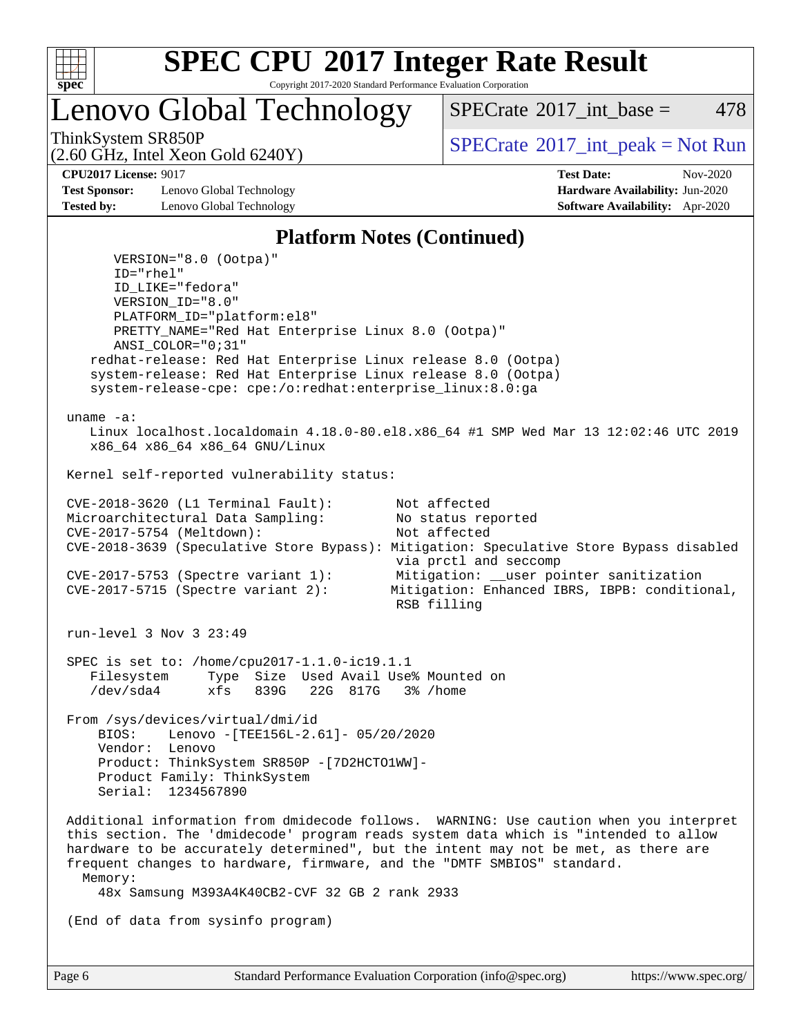

Copyright 2017-2020 Standard Performance Evaluation Corporation

Lenovo Global Technology

[SPECrate](http://www.spec.org/auto/cpu2017/Docs/result-fields.html#SPECrate2017intbase)<sup>®</sup>2017 int base = 478

(2.60 GHz, Intel Xeon Gold 6240Y)

ThinkSystem SR850P<br>  $\begin{array}{c}\n\text{SPECTI} \\
\text{SPECTI} \\
\text{SPECTI} \\
\text{SPECTI} \\
\text{SPECTI} \\
\text{SPECTI} \\
\text{SPECTI} \\
\text{SPECTI} \\
\text{SPECTI} \\
\text{SPECTI} \\
\text{SPECTI} \\
\text{SPECTI} \\
\text{SPECTI} \\
\text{SPECTI} \\
\text{SPECTI} \\
\text{S OF} \\
\text{S OF} \\
\text{S OF} \\
\text{S OF} \\
\text{S OF} \\
\text{S OF} \\
\text{S OF} \\
\text{S OF} \\
\text{S OF} \\
\text{S OF} \\
\text$ 

**[Test Sponsor:](http://www.spec.org/auto/cpu2017/Docs/result-fields.html#TestSponsor)** Lenovo Global Technology **[Hardware Availability:](http://www.spec.org/auto/cpu2017/Docs/result-fields.html#HardwareAvailability)** Jun-2020 **[Tested by:](http://www.spec.org/auto/cpu2017/Docs/result-fields.html#Testedby)** Lenovo Global Technology **[Software Availability:](http://www.spec.org/auto/cpu2017/Docs/result-fields.html#SoftwareAvailability)** Apr-2020

**[CPU2017 License:](http://www.spec.org/auto/cpu2017/Docs/result-fields.html#CPU2017License)** 9017 **[Test Date:](http://www.spec.org/auto/cpu2017/Docs/result-fields.html#TestDate)** Nov-2020

#### **[Platform Notes \(Continued\)](http://www.spec.org/auto/cpu2017/Docs/result-fields.html#PlatformNotes)**

 VERSION="8.0 (Ootpa)" ID="rhel" ID\_LIKE="fedora" VERSION\_ID="8.0" PLATFORM\_ID="platform:el8" PRETTY\_NAME="Red Hat Enterprise Linux 8.0 (Ootpa)" ANSI\_COLOR="0;31" redhat-release: Red Hat Enterprise Linux release 8.0 (Ootpa) system-release: Red Hat Enterprise Linux release 8.0 (Ootpa) system-release-cpe: cpe:/o:redhat:enterprise\_linux:8.0:ga uname -a: Linux localhost.localdomain 4.18.0-80.el8.x86\_64 #1 SMP Wed Mar 13 12:02:46 UTC 2019 x86\_64 x86\_64 x86\_64 GNU/Linux Kernel self-reported vulnerability status: CVE-2018-3620 (L1 Terminal Fault): Not affected Microarchitectural Data Sampling: No status reported<br>CVE-2017-5754 (Meltdown): Not affected  $CVE-2017-5754$  (Meltdown): CVE-2018-3639 (Speculative Store Bypass): Mitigation: Speculative Store Bypass disabled via prctl and seccomp CVE-2017-5753 (Spectre variant 1): Mitigation: \_\_user pointer sanitization<br>CVE-2017-5715 (Spectre variant 2): Mitigation: Enhanced IBRS, IBPB: condition Mitigation: Enhanced IBRS, IBPB: conditional, RSB filling run-level 3 Nov 3 23:49 SPEC is set to: /home/cpu2017-1.1.0-ic19.1.1 Filesystem Type Size Used Avail Use% Mounted on /dev/sda4 xfs 839G 22G 817G 3% /home From /sys/devices/virtual/dmi/id BIOS: Lenovo -[TEE156L-2.61]- 05/20/2020 Vendor: Lenovo Product: ThinkSystem SR850P -[7D2HCTO1WW]- Product Family: ThinkSystem Serial: 1234567890 Additional information from dmidecode follows. WARNING: Use caution when you interpret this section. The 'dmidecode' program reads system data which is "intended to allow hardware to be accurately determined", but the intent may not be met, as there are frequent changes to hardware, firmware, and the "DMTF SMBIOS" standard. Memory: 48x Samsung M393A4K40CB2-CVF 32 GB 2 rank 2933 (End of data from sysinfo program)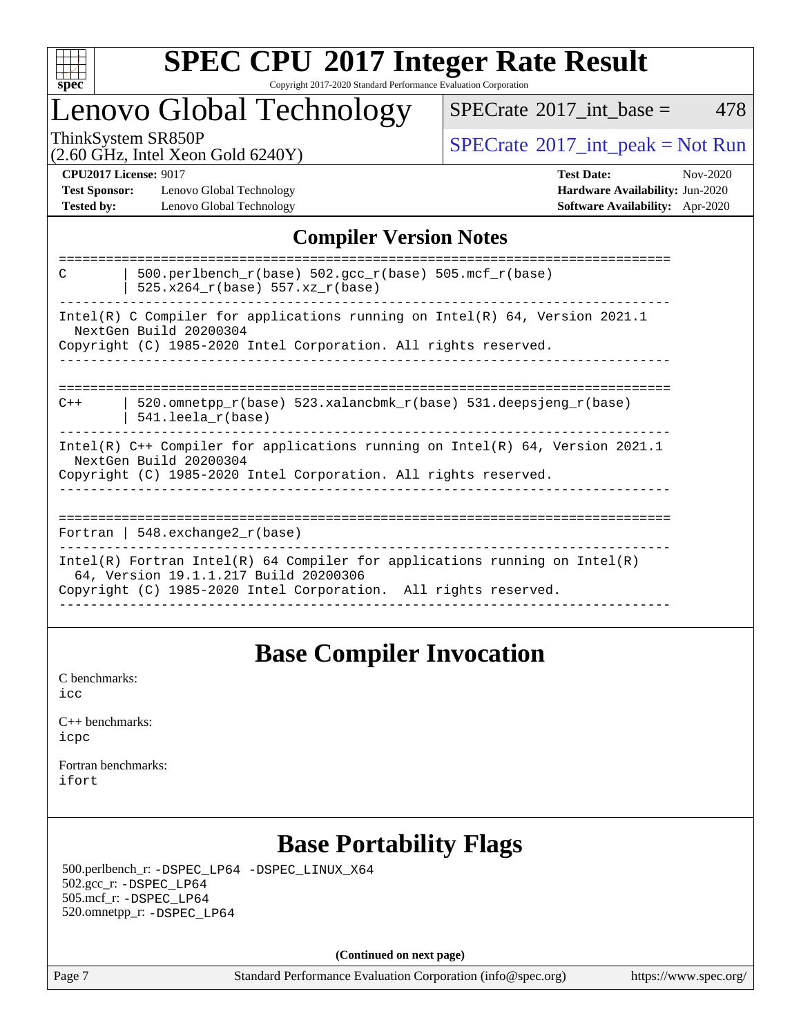

#### **[SPEC CPU](http://www.spec.org/auto/cpu2017/Docs/result-fields.html#SPECCPU2017IntegerRateResult)[2017 Integer Rate Result](http://www.spec.org/auto/cpu2017/Docs/result-fields.html#SPECCPU2017IntegerRateResult)** Copyright 2017-2020 Standard Performance Evaluation Corporation

### Lenovo Global Technology

 $SPECTate$ <sup>®</sup>[2017\\_int\\_base =](http://www.spec.org/auto/cpu2017/Docs/result-fields.html#SPECrate2017intbase) 478

(2.60 GHz, Intel Xeon Gold 6240Y)

ThinkSystem SR850P<br>  $\begin{array}{c}\n\text{SPECTB} \\
\text{SPECTB} \\
\text{SPECTB} \\
\text{SPECTB} \\
\text{SPECTB} \\
\text{SPECTB} \\
\text{SPECTB} \\
\text{SPECTB} \\
\text{SPECTB} \\
\text{SPECTB} \\
\text{SPECTB} \\
\text{SPECTB} \\
\text{SPECTB} \\
\text{SPECTB} \\
\text{SPECTB} \\
\text{SPECTB} \\
\text{SPECTB} \\
\text{SPECTB} \\
\text{SPECTB} \\
\text{SPECTB} \\
\text{SPECTB} \\
\text{SPECTB} \\
\text{SISTB} \\
\text{SISTB} \\$ 

**[Test Sponsor:](http://www.spec.org/auto/cpu2017/Docs/result-fields.html#TestSponsor)** Lenovo Global Technology **[Hardware Availability:](http://www.spec.org/auto/cpu2017/Docs/result-fields.html#HardwareAvailability)** Jun-2020 **[Tested by:](http://www.spec.org/auto/cpu2017/Docs/result-fields.html#Testedby)** Lenovo Global Technology **[Software Availability:](http://www.spec.org/auto/cpu2017/Docs/result-fields.html#SoftwareAvailability)** Apr-2020

**[CPU2017 License:](http://www.spec.org/auto/cpu2017/Docs/result-fields.html#CPU2017License)** 9017 **[Test Date:](http://www.spec.org/auto/cpu2017/Docs/result-fields.html#TestDate)** Nov-2020

### **[Compiler Version Notes](http://www.spec.org/auto/cpu2017/Docs/result-fields.html#CompilerVersionNotes)**

### **[Base Compiler Invocation](http://www.spec.org/auto/cpu2017/Docs/result-fields.html#BaseCompilerInvocation)**

[C benchmarks](http://www.spec.org/auto/cpu2017/Docs/result-fields.html#Cbenchmarks): [icc](http://www.spec.org/cpu2017/results/res2020q4/cpu2017-20201109-24368.flags.html#user_CCbase_intel_icc_66fc1ee009f7361af1fbd72ca7dcefbb700085f36577c54f309893dd4ec40d12360134090235512931783d35fd58c0460139e722d5067c5574d8eaf2b3e37e92)

| $C_{++}$ benchmarks: |  |
|----------------------|--|
| icpc                 |  |

[Fortran benchmarks](http://www.spec.org/auto/cpu2017/Docs/result-fields.html#Fortranbenchmarks): [ifort](http://www.spec.org/cpu2017/results/res2020q4/cpu2017-20201109-24368.flags.html#user_FCbase_intel_ifort_8111460550e3ca792625aed983ce982f94888b8b503583aa7ba2b8303487b4d8a21a13e7191a45c5fd58ff318f48f9492884d4413fa793fd88dd292cad7027ca)

### **[Base Portability Flags](http://www.spec.org/auto/cpu2017/Docs/result-fields.html#BasePortabilityFlags)**

 500.perlbench\_r: [-DSPEC\\_LP64](http://www.spec.org/cpu2017/results/res2020q4/cpu2017-20201109-24368.flags.html#b500.perlbench_r_basePORTABILITY_DSPEC_LP64) [-DSPEC\\_LINUX\\_X64](http://www.spec.org/cpu2017/results/res2020q4/cpu2017-20201109-24368.flags.html#b500.perlbench_r_baseCPORTABILITY_DSPEC_LINUX_X64) 502.gcc\_r: [-DSPEC\\_LP64](http://www.spec.org/cpu2017/results/res2020q4/cpu2017-20201109-24368.flags.html#suite_basePORTABILITY502_gcc_r_DSPEC_LP64) 505.mcf\_r: [-DSPEC\\_LP64](http://www.spec.org/cpu2017/results/res2020q4/cpu2017-20201109-24368.flags.html#suite_basePORTABILITY505_mcf_r_DSPEC_LP64) 520.omnetpp\_r: [-DSPEC\\_LP64](http://www.spec.org/cpu2017/results/res2020q4/cpu2017-20201109-24368.flags.html#suite_basePORTABILITY520_omnetpp_r_DSPEC_LP64)

**(Continued on next page)**

Page 7 Standard Performance Evaluation Corporation [\(info@spec.org\)](mailto:info@spec.org) <https://www.spec.org/>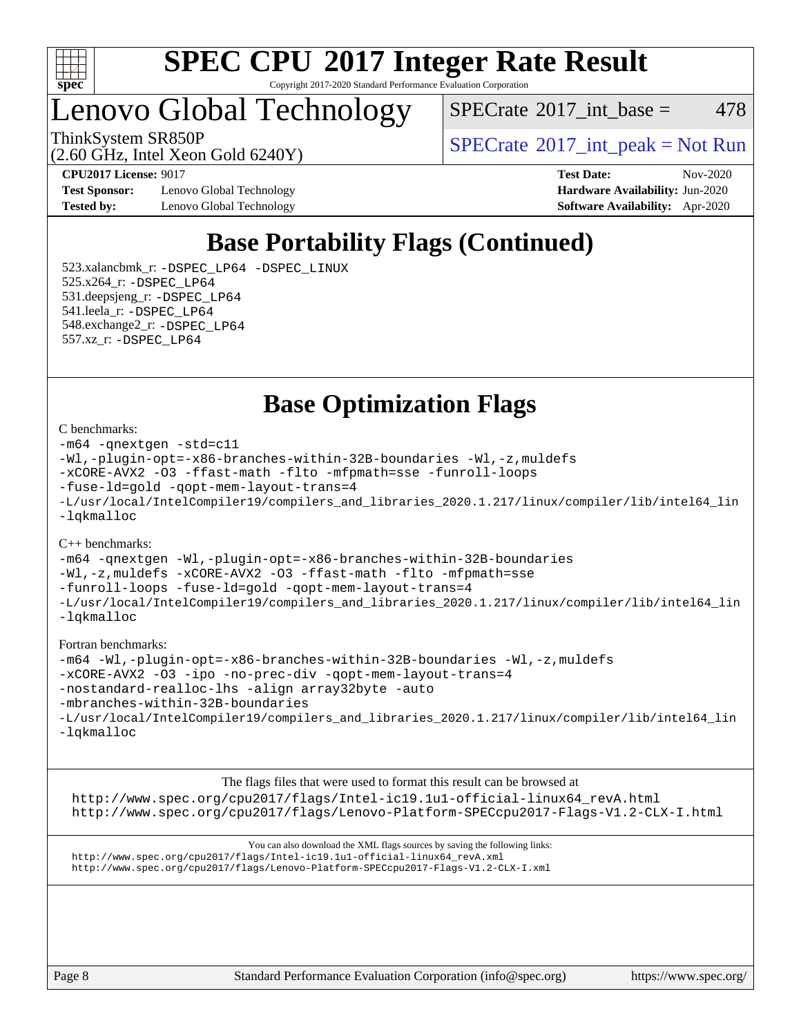

Copyright 2017-2020 Standard Performance Evaluation Corporation

Lenovo Global Technology

 $SPECTate$ <sup>®</sup>[2017\\_int\\_base =](http://www.spec.org/auto/cpu2017/Docs/result-fields.html#SPECrate2017intbase) 478

(2.60 GHz, Intel Xeon Gold 6240Y)

ThinkSystem SR850P<br>  $\begin{array}{c}\n\text{SPECTI}_2 \text{ Intel Year} \\
\text{SPECTI}_3 \text{ Int\_peak} = \text{Not Run}\n\end{array}$ 

**[Test Sponsor:](http://www.spec.org/auto/cpu2017/Docs/result-fields.html#TestSponsor)** Lenovo Global Technology **[Hardware Availability:](http://www.spec.org/auto/cpu2017/Docs/result-fields.html#HardwareAvailability)** Jun-2020 **[Tested by:](http://www.spec.org/auto/cpu2017/Docs/result-fields.html#Testedby)** Lenovo Global Technology **[Software Availability:](http://www.spec.org/auto/cpu2017/Docs/result-fields.html#SoftwareAvailability)** Apr-2020

**[CPU2017 License:](http://www.spec.org/auto/cpu2017/Docs/result-fields.html#CPU2017License)** 9017 **[Test Date:](http://www.spec.org/auto/cpu2017/Docs/result-fields.html#TestDate)** Nov-2020

### **[Base Portability Flags \(Continued\)](http://www.spec.org/auto/cpu2017/Docs/result-fields.html#BasePortabilityFlags)**

 523.xalancbmk\_r: [-DSPEC\\_LP64](http://www.spec.org/cpu2017/results/res2020q4/cpu2017-20201109-24368.flags.html#suite_basePORTABILITY523_xalancbmk_r_DSPEC_LP64) [-DSPEC\\_LINUX](http://www.spec.org/cpu2017/results/res2020q4/cpu2017-20201109-24368.flags.html#b523.xalancbmk_r_baseCXXPORTABILITY_DSPEC_LINUX) 525.x264\_r: [-DSPEC\\_LP64](http://www.spec.org/cpu2017/results/res2020q4/cpu2017-20201109-24368.flags.html#suite_basePORTABILITY525_x264_r_DSPEC_LP64) 531.deepsjeng\_r: [-DSPEC\\_LP64](http://www.spec.org/cpu2017/results/res2020q4/cpu2017-20201109-24368.flags.html#suite_basePORTABILITY531_deepsjeng_r_DSPEC_LP64) 541.leela\_r: [-DSPEC\\_LP64](http://www.spec.org/cpu2017/results/res2020q4/cpu2017-20201109-24368.flags.html#suite_basePORTABILITY541_leela_r_DSPEC_LP64) 548.exchange2\_r: [-DSPEC\\_LP64](http://www.spec.org/cpu2017/results/res2020q4/cpu2017-20201109-24368.flags.html#suite_basePORTABILITY548_exchange2_r_DSPEC_LP64) 557.xz\_r: [-DSPEC\\_LP64](http://www.spec.org/cpu2017/results/res2020q4/cpu2017-20201109-24368.flags.html#suite_basePORTABILITY557_xz_r_DSPEC_LP64)

**[Base Optimization Flags](http://www.spec.org/auto/cpu2017/Docs/result-fields.html#BaseOptimizationFlags)**

#### [C benchmarks](http://www.spec.org/auto/cpu2017/Docs/result-fields.html#Cbenchmarks):

```
-m64 -qnextgen -std=c11
-Wl,-plugin-opt=-x86-branches-within-32B-boundaries -Wl,-z,muldefs
-xCORE-AVX2 -O3 -ffast-math -flto -mfpmath=sse -funroll-loops
-fuse-ld=gold -qopt-mem-layout-trans=4
-L/usr/local/IntelCompiler19/compilers_and_libraries_2020.1.217/linux/compiler/lib/intel64_lin
-lqkmalloc
```
#### [C++ benchmarks](http://www.spec.org/auto/cpu2017/Docs/result-fields.html#CXXbenchmarks):

```
-m64 -qnextgen -Wl,-plugin-opt=-x86-branches-within-32B-boundaries
-Wl,-z,muldefs -xCORE-AVX2 -O3 -ffast-math -flto -mfpmath=sse
-funroll-loops -fuse-ld=gold -qopt-mem-layout-trans=4
-L/usr/local/IntelCompiler19/compilers_and_libraries_2020.1.217/linux/compiler/lib/intel64_lin
-lqkmalloc
```
#### [Fortran benchmarks:](http://www.spec.org/auto/cpu2017/Docs/result-fields.html#Fortranbenchmarks)

```
-m64 -Wl,-plugin-opt=-x86-branches-within-32B-boundaries -Wl,-z,muldefs
-xCORE-AVX2 -O3 -ipo -no-prec-div -qopt-mem-layout-trans=4
-nostandard-realloc-lhs -align array32byte -auto
-mbranches-within-32B-boundaries
-L/usr/local/IntelCompiler19/compilers_and_libraries_2020.1.217/linux/compiler/lib/intel64_lin
-lqkmalloc
```
[The flags files that were used to format this result can be browsed at](tmsearch) [http://www.spec.org/cpu2017/flags/Intel-ic19.1u1-official-linux64\\_revA.html](http://www.spec.org/cpu2017/flags/Intel-ic19.1u1-official-linux64_revA.html) <http://www.spec.org/cpu2017/flags/Lenovo-Platform-SPECcpu2017-Flags-V1.2-CLX-I.html>

[You can also download the XML flags sources by saving the following links:](tmsearch) [http://www.spec.org/cpu2017/flags/Intel-ic19.1u1-official-linux64\\_revA.xml](http://www.spec.org/cpu2017/flags/Intel-ic19.1u1-official-linux64_revA.xml) <http://www.spec.org/cpu2017/flags/Lenovo-Platform-SPECcpu2017-Flags-V1.2-CLX-I.xml>